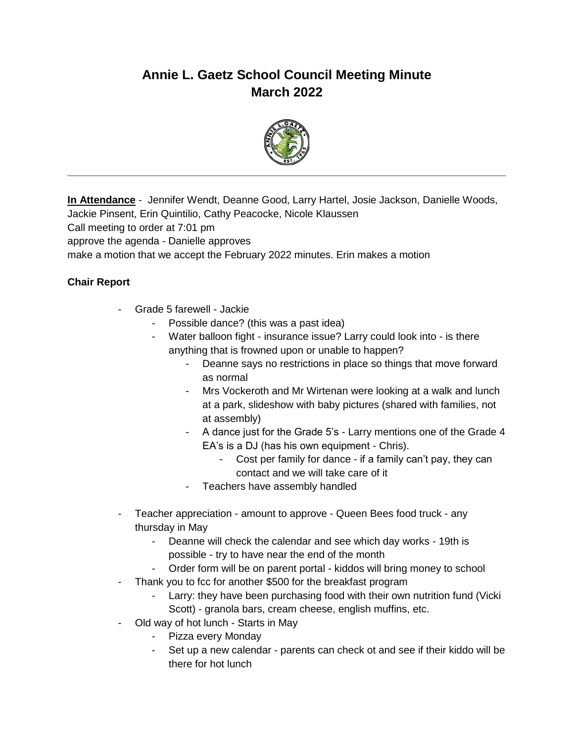# **Annie L. Gaetz School Council Meeting Minute March 2022**



**In Attendance** - Jennifer Wendt, Deanne Good, Larry Hartel, Josie Jackson, Danielle Woods,

Jackie Pinsent, Erin Quintilio, Cathy Peacocke, Nicole Klaussen

Call meeting to order at 7:01 pm

approve the agenda - Danielle approves

make a motion that we accept the February 2022 minutes. Erin makes a motion

### **Chair Report**

- Grade 5 farewell Jackie
	- Possible dance? (this was a past idea)
	- Water balloon fight insurance issue? Larry could look into is there anything that is frowned upon or unable to happen?
		- Deanne says no restrictions in place so things that move forward as normal
		- Mrs Vockeroth and Mr Wirtenan were looking at a walk and lunch at a park, slideshow with baby pictures (shared with families, not at assembly)
		- A dance just for the Grade 5's Larry mentions one of the Grade 4 EA's is a DJ (has his own equipment - Chris).
			- Cost per family for dance if a family can't pay, they can contact and we will take care of it
		- Teachers have assembly handled
- Teacher appreciation amount to approve Queen Bees food truck any thursday in May
	- Deanne will check the calendar and see which day works 19th is possible - try to have near the end of the month
	- Order form will be on parent portal kiddos will bring money to school
- Thank you to fcc for another \$500 for the breakfast program
	- Larry: they have been purchasing food with their own nutrition fund (Vicki Scott) - granola bars, cream cheese, english muffins, etc.
- Old way of hot lunch Starts in May
	- Pizza every Monday
	- Set up a new calendar parents can check ot and see if their kiddo will be there for hot lunch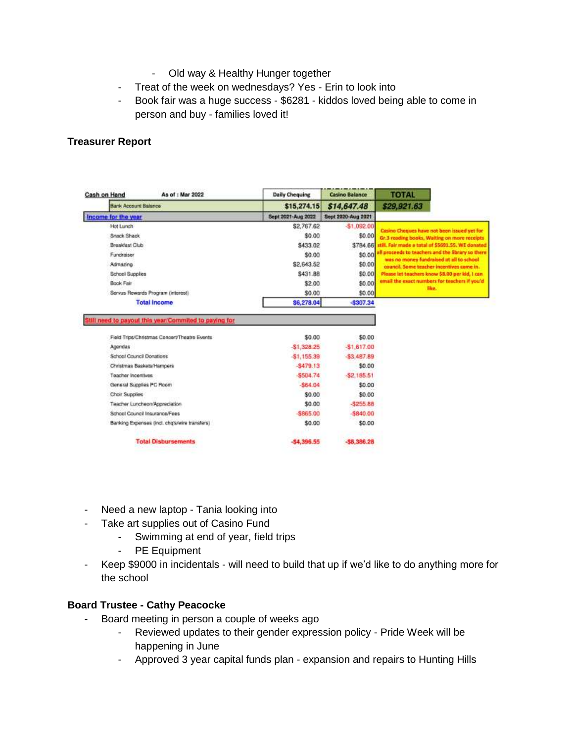- Old way & Healthy Hunger together
- Treat of the week on wednesdays? Yes Erin to look into
- Book fair was a huge success \$6281 kiddos loved being able to come in person and buy - families loved it!

#### **Treasurer Report**

| Cash on Hand                                  | As of : Mar 2022              | <b>Daily Chequing</b> | <b>Casino Balance</b> | <b>TOTAL</b>                                                                                                                                                                                                                                                                                                                                                                                               |
|-----------------------------------------------|-------------------------------|-----------------------|-----------------------|------------------------------------------------------------------------------------------------------------------------------------------------------------------------------------------------------------------------------------------------------------------------------------------------------------------------------------------------------------------------------------------------------------|
| <b>Bank Account Balance</b>                   |                               | \$15,274.15           | \$14,647.48           | \$29,921.63                                                                                                                                                                                                                                                                                                                                                                                                |
| Income for the year                           |                               | Sept 2021-Aug 2022    | Sept 2020-Aug 2021    |                                                                                                                                                                                                                                                                                                                                                                                                            |
| Hot Lunch                                     |                               | \$2,767.62            | $-$1,092.00$          | Casino Cheques have not been issued yet for<br>Gr.3 reading books, Waiting on more receipts<br>till. Fair made a total of \$5691.55. WE donated<br>ill proceeds to teachers and the library so there<br>was no money fundraised at all to school<br>council. Some teacher incentives came in.<br>Please let teachers know \$8.00 per kid, I can<br>email the exact numbers for teachers if you'd<br>like." |
| Snack Shack                                   |                               | \$0.00                | \$0.00                |                                                                                                                                                                                                                                                                                                                                                                                                            |
| Breakfast Club                                |                               | \$433.02              | \$784.66              |                                                                                                                                                                                                                                                                                                                                                                                                            |
| Fundraiser                                    |                               | \$0.00                | \$0.00                |                                                                                                                                                                                                                                                                                                                                                                                                            |
| Admazing                                      |                               | \$2,643.52            | \$0.00                |                                                                                                                                                                                                                                                                                                                                                                                                            |
| School Supplies                               |                               | \$431.88              | \$0.00                |                                                                                                                                                                                                                                                                                                                                                                                                            |
| Book Fair                                     |                               | \$2.00                | \$0.00                |                                                                                                                                                                                                                                                                                                                                                                                                            |
| Servus Rewards Program (interest)             |                               | \$0.00                | \$0.00                |                                                                                                                                                                                                                                                                                                                                                                                                            |
| <b>Total Income</b>                           |                               | \$6,278.04            | $-$307.34$            |                                                                                                                                                                                                                                                                                                                                                                                                            |
| Field Trips/Christmas Concert/Theatre Events  |                               | \$0.00                | \$0.00                |                                                                                                                                                                                                                                                                                                                                                                                                            |
|                                               |                               |                       |                       |                                                                                                                                                                                                                                                                                                                                                                                                            |
| Agendas                                       |                               | \$1,328.25            | -\$1,617.00           |                                                                                                                                                                                                                                                                                                                                                                                                            |
| School Council Donations                      |                               | $-51.155.39$          | $-83,487.89$          |                                                                                                                                                                                                                                                                                                                                                                                                            |
| Christmas Baskets/Hampers                     |                               | $-5479.13$            | \$0.00                |                                                                                                                                                                                                                                                                                                                                                                                                            |
| <b>Teacher Incentives</b>                     |                               | $-8504.74$            | $-32,185.51$          |                                                                                                                                                                                                                                                                                                                                                                                                            |
| General Supplies PC Room                      |                               | $-864.04$             | \$0.00                |                                                                                                                                                                                                                                                                                                                                                                                                            |
| Choir Supplies                                |                               | \$0.00                | \$0.00                |                                                                                                                                                                                                                                                                                                                                                                                                            |
| Teacher Luncheon/Appreciation                 |                               | \$0.00                | $-3255.88$            |                                                                                                                                                                                                                                                                                                                                                                                                            |
|                                               | School Council Insurance/Fees | -\$865.00             | \$840.00              |                                                                                                                                                                                                                                                                                                                                                                                                            |
| Banking Expenses (incl. chg's/wire transfers) |                               | \$0.00                | \$0.00                |                                                                                                                                                                                                                                                                                                                                                                                                            |
| <b>Total Disbursements</b>                    |                               |                       |                       |                                                                                                                                                                                                                                                                                                                                                                                                            |
|                                               |                               | $-54,396.55$          | $-58,386.28$          |                                                                                                                                                                                                                                                                                                                                                                                                            |

- Need a new laptop Tania looking into
- Take art supplies out of Casino Fund
	- Swimming at end of year, field trips
	- PE Equipment
- Keep \$9000 in incidentals will need to build that up if we'd like to do anything more for the school

#### **Board Trustee - Cathy Peacocke**

- Board meeting in person a couple of weeks ago
	- Reviewed updates to their gender expression policy Pride Week will be happening in June
	- Approved 3 year capital funds plan expansion and repairs to Hunting Hills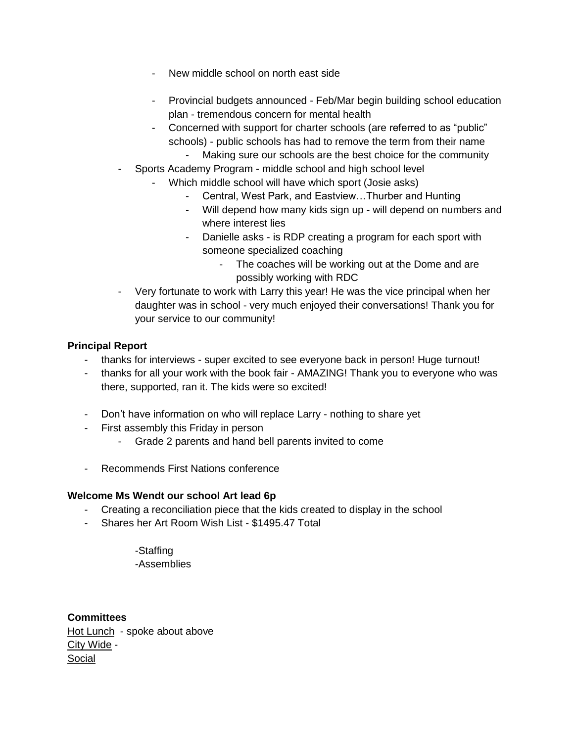- New middle school on north east side
- Provincial budgets announced Feb/Mar begin building school education plan - tremendous concern for mental health
- Concerned with support for charter schools (are referred to as "public" schools) - public schools has had to remove the term from their name Making sure our schools are the best choice for the community
- Sports Academy Program middle school and high school level
	- Which middle school will have which sport (Josie asks)
		- Central, West Park, and Eastview…Thurber and Hunting
		- Will depend how many kids sign up will depend on numbers and where interest lies
		- Danielle asks is RDP creating a program for each sport with someone specialized coaching
			- The coaches will be working out at the Dome and are possibly working with RDC
- Very fortunate to work with Larry this year! He was the vice principal when her daughter was in school - very much enjoyed their conversations! Thank you for your service to our community!

#### **Principal Report**

- thanks for interviews super excited to see everyone back in person! Huge turnout!
- thanks for all your work with the book fair AMAZING! Thank you to everyone who was there, supported, ran it. The kids were so excited!
- Don't have information on who will replace Larry nothing to share yet
- First assembly this Friday in person
	- Grade 2 parents and hand bell parents invited to come
- Recommends First Nations conference

#### **Welcome Ms Wendt our school Art lead 6p**

- Creating a reconciliation piece that the kids created to display in the school
- Shares her Art Room Wish List \$1495.47 Total

-Staffing -Assemblies

**Committees** Hot Lunch - spoke about above City Wide - Social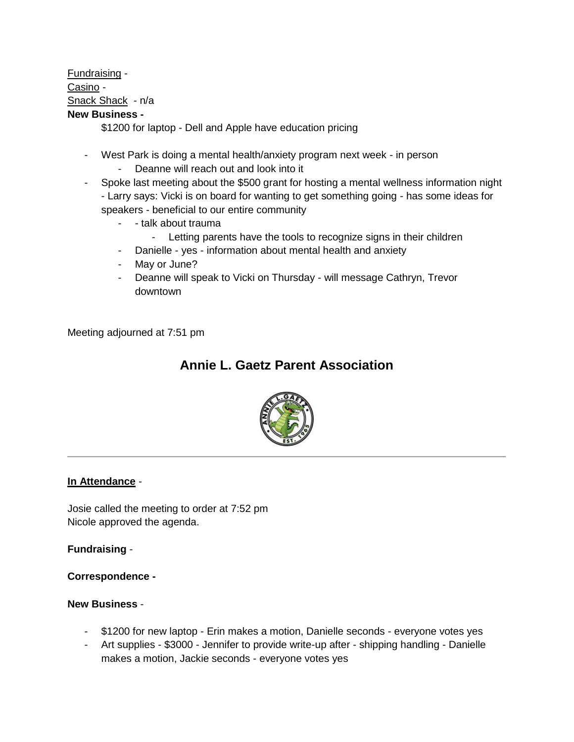Fundraising - Casino - Snack Shack - n/a

### **New Business -**

\$1200 for laptop - Dell and Apple have education pricing

- West Park is doing a mental health/anxiety program next week in person Deanne will reach out and look into it
- Spoke last meeting about the \$500 grant for hosting a mental wellness information night - Larry says: Vicki is on board for wanting to get something going - has some ideas for speakers - beneficial to our entire community
	- - talk about trauma
		- Letting parents have the tools to recognize signs in their children
	- Danielle yes information about mental health and anxiety
	- May or June?
	- Deanne will speak to Vicki on Thursday will message Cathryn, Trevor downtown

Meeting adjourned at 7:51 pm

## **Annie L. Gaetz Parent Association**



#### **In Attendance** -

Josie called the meeting to order at 7:52 pm Nicole approved the agenda.

**Fundraising** -

**Correspondence -**

#### **New Business** -

- \$1200 for new laptop Erin makes a motion, Danielle seconds everyone votes yes
- Art supplies \$3000 Jennifer to provide write-up after shipping handling Danielle makes a motion, Jackie seconds - everyone votes yes